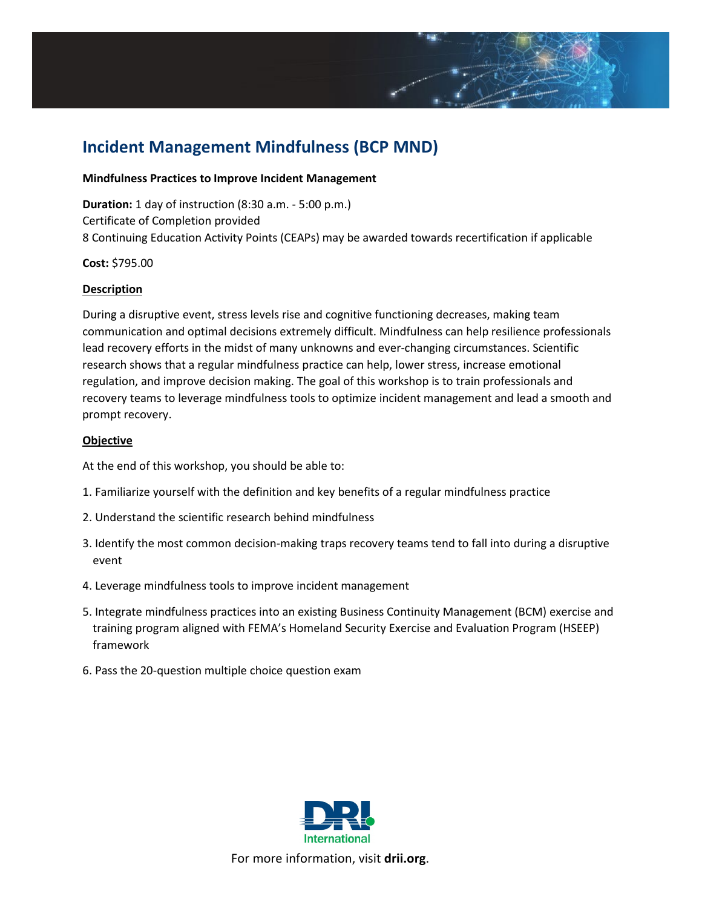# **Incident Management Mindfulness (BCP MND)**

#### **Mindfulness Practices to Improve Incident Management**

**Duration:** 1 day of instruction (8:30 a.m. - 5:00 p.m.) Certificate of Completion provided 8 Continuing Education Activity Points (CEAPs) may be awarded towards recertification if applicable

# **Cost:** \$795.00

# **Description**

During a disruptive event, stress levels rise and cognitive functioning decreases, making team communication and optimal decisions extremely difficult. Mindfulness can help resilience professionals lead recovery efforts in the midst of many unknowns and ever-changing circumstances. Scientific research shows that a regular mindfulness practice can help, lower stress, increase emotional regulation, and improve decision making. The goal of this workshop is to train professionals and recovery teams to leverage mindfulness tools to optimize incident management and lead a smooth and prompt recovery.

# **Objective**

At the end of this workshop, you should be able to:

- 1. Familiarize yourself with the definition and key benefits of a regular mindfulness practice
- 2. Understand the scientific research behind mindfulness
- 3. Identify the most common decision-making traps recovery teams tend to fall into during a disruptive event
- 4. Leverage mindfulness tools to improve incident management
- 5. Integrate mindfulness practices into an existing Business Continuity Management (BCM) exercise and training program aligned with FEMA's Homeland Security Exercise and Evaluation Program (HSEEP) framework
- 6. Pass the 20-question multiple choice question exam



For more information, visit **[drii.org](http://drii.org/)**.